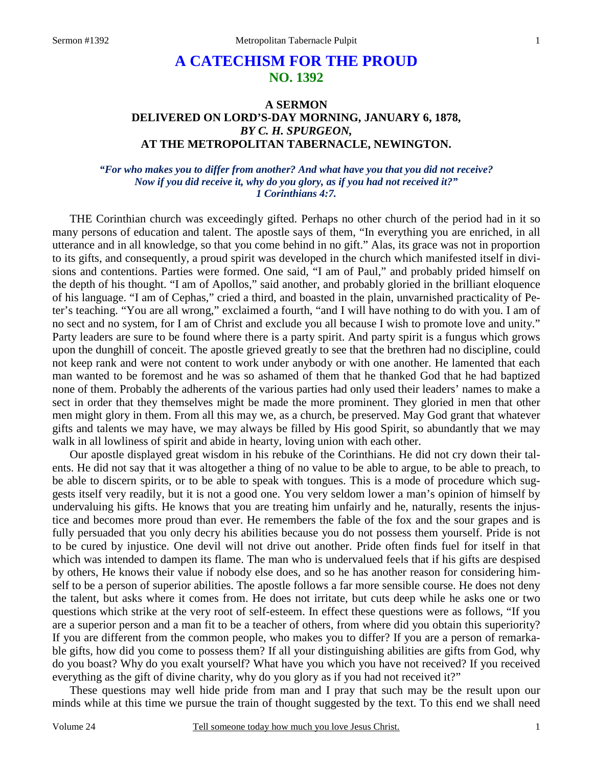# **A CATECHISM FOR THE PROUD NO. 1392**

## **A SERMON DELIVERED ON LORD'S-DAY MORNING, JANUARY 6, 1878,**  *BY C. H. SPURGEON,*  **AT THE METROPOLITAN TABERNACLE, NEWINGTON.**

#### *"For who makes you to differ from another? And what have you that you did not receive? Now if you did receive it, why do you glory, as if you had not received it?" 1 Corinthians 4:7.*

THE Corinthian church was exceedingly gifted. Perhaps no other church of the period had in it so many persons of education and talent. The apostle says of them, "In everything you are enriched, in all utterance and in all knowledge, so that you come behind in no gift." Alas, its grace was not in proportion to its gifts, and consequently, a proud spirit was developed in the church which manifested itself in divisions and contentions. Parties were formed. One said, "I am of Paul," and probably prided himself on the depth of his thought. "I am of Apollos," said another, and probably gloried in the brilliant eloquence of his language. "I am of Cephas," cried a third, and boasted in the plain, unvarnished practicality of Peter's teaching. "You are all wrong," exclaimed a fourth, "and I will have nothing to do with you. I am of no sect and no system, for I am of Christ and exclude you all because I wish to promote love and unity." Party leaders are sure to be found where there is a party spirit. And party spirit is a fungus which grows upon the dunghill of conceit. The apostle grieved greatly to see that the brethren had no discipline, could not keep rank and were not content to work under anybody or with one another. He lamented that each man wanted to be foremost and he was so ashamed of them that he thanked God that he had baptized none of them. Probably the adherents of the various parties had only used their leaders' names to make a sect in order that they themselves might be made the more prominent. They gloried in men that other men might glory in them. From all this may we, as a church, be preserved. May God grant that whatever gifts and talents we may have, we may always be filled by His good Spirit, so abundantly that we may walk in all lowliness of spirit and abide in hearty, loving union with each other.

 Our apostle displayed great wisdom in his rebuke of the Corinthians. He did not cry down their talents. He did not say that it was altogether a thing of no value to be able to argue, to be able to preach, to be able to discern spirits, or to be able to speak with tongues. This is a mode of procedure which suggests itself very readily, but it is not a good one. You very seldom lower a man's opinion of himself by undervaluing his gifts. He knows that you are treating him unfairly and he, naturally, resents the injustice and becomes more proud than ever. He remembers the fable of the fox and the sour grapes and is fully persuaded that you only decry his abilities because you do not possess them yourself. Pride is not to be cured by injustice. One devil will not drive out another. Pride often finds fuel for itself in that which was intended to dampen its flame. The man who is undervalued feels that if his gifts are despised by others, He knows their value if nobody else does, and so he has another reason for considering himself to be a person of superior abilities. The apostle follows a far more sensible course. He does not deny the talent, but asks where it comes from. He does not irritate, but cuts deep while he asks one or two questions which strike at the very root of self-esteem. In effect these questions were as follows, "If you are a superior person and a man fit to be a teacher of others, from where did you obtain this superiority? If you are different from the common people, who makes you to differ? If you are a person of remarkable gifts, how did you come to possess them? If all your distinguishing abilities are gifts from God, why do you boast? Why do you exalt yourself? What have you which you have not received? If you received everything as the gift of divine charity, why do you glory as if you had not received it?"

 These questions may well hide pride from man and I pray that such may be the result upon our minds while at this time we pursue the train of thought suggested by the text. To this end we shall need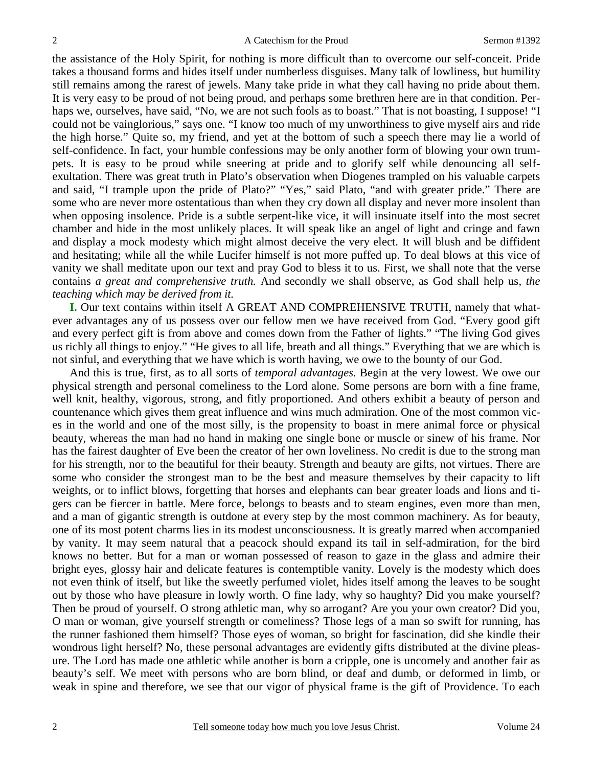the assistance of the Holy Spirit, for nothing is more difficult than to overcome our self-conceit. Pride takes a thousand forms and hides itself under numberless disguises. Many talk of lowliness, but humility still remains among the rarest of jewels. Many take pride in what they call having no pride about them. It is very easy to be proud of not being proud, and perhaps some brethren here are in that condition. Perhaps we, ourselves, have said, "No, we are not such fools as to boast." That is not boasting, I suppose! "I could not be vainglorious," says one. "I know too much of my unworthiness to give myself airs and ride the high horse." Quite so, my friend, and yet at the bottom of such a speech there may lie a world of self-confidence. In fact, your humble confessions may be only another form of blowing your own trumpets. It is easy to be proud while sneering at pride and to glorify self while denouncing all selfexultation. There was great truth in Plato's observation when Diogenes trampled on his valuable carpets and said, "I trample upon the pride of Plato?" "Yes," said Plato, "and with greater pride." There are some who are never more ostentatious than when they cry down all display and never more insolent than when opposing insolence. Pride is a subtle serpent-like vice, it will insinuate itself into the most secret chamber and hide in the most unlikely places. It will speak like an angel of light and cringe and fawn and display a mock modesty which might almost deceive the very elect. It will blush and be diffident and hesitating; while all the while Lucifer himself is not more puffed up. To deal blows at this vice of vanity we shall meditate upon our text and pray God to bless it to us. First, we shall note that the verse contains *a great and comprehensive truth.* And secondly we shall observe, as God shall help us, *the teaching which may be derived from it.* 

**I.** Our text contains within itself A GREAT AND COMPREHENSIVE TRUTH, namely that whatever advantages any of us possess over our fellow men we have received from God. "Every good gift and every perfect gift is from above and comes down from the Father of lights." "The living God gives us richly all things to enjoy." "He gives to all life, breath and all things." Everything that we are which is not sinful, and everything that we have which is worth having, we owe to the bounty of our God.

 And this is true, first, as to all sorts of *temporal advantages.* Begin at the very lowest. We owe our physical strength and personal comeliness to the Lord alone. Some persons are born with a fine frame, well knit, healthy, vigorous, strong, and fitly proportioned. And others exhibit a beauty of person and countenance which gives them great influence and wins much admiration. One of the most common vices in the world and one of the most silly, is the propensity to boast in mere animal force or physical beauty, whereas the man had no hand in making one single bone or muscle or sinew of his frame. Nor has the fairest daughter of Eve been the creator of her own loveliness. No credit is due to the strong man for his strength, nor to the beautiful for their beauty. Strength and beauty are gifts, not virtues. There are some who consider the strongest man to be the best and measure themselves by their capacity to lift weights, or to inflict blows, forgetting that horses and elephants can bear greater loads and lions and tigers can be fiercer in battle. Mere force, belongs to beasts and to steam engines, even more than men, and a man of gigantic strength is outdone at every step by the most common machinery. As for beauty, one of its most potent charms lies in its modest unconsciousness. It is greatly marred when accompanied by vanity. It may seem natural that a peacock should expand its tail in self-admiration, for the bird knows no better. But for a man or woman possessed of reason to gaze in the glass and admire their bright eyes, glossy hair and delicate features is contemptible vanity. Lovely is the modesty which does not even think of itself, but like the sweetly perfumed violet, hides itself among the leaves to be sought out by those who have pleasure in lowly worth. O fine lady, why so haughty? Did you make yourself? Then be proud of yourself. O strong athletic man, why so arrogant? Are you your own creator? Did you, O man or woman, give yourself strength or comeliness? Those legs of a man so swift for running, has the runner fashioned them himself? Those eyes of woman, so bright for fascination, did she kindle their wondrous light herself? No, these personal advantages are evidently gifts distributed at the divine pleasure. The Lord has made one athletic while another is born a cripple, one is uncomely and another fair as beauty's self. We meet with persons who are born blind, or deaf and dumb, or deformed in limb, or weak in spine and therefore, we see that our vigor of physical frame is the gift of Providence. To each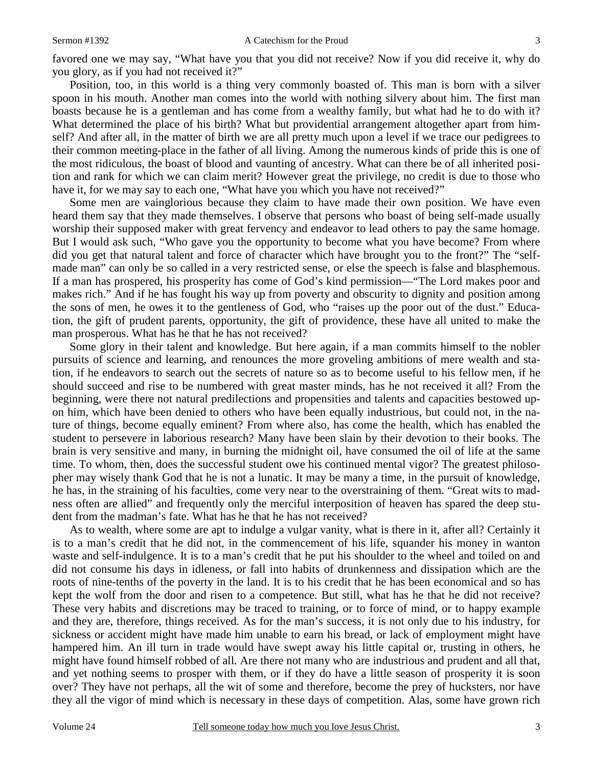favored one we may say, "What have you that you did not receive? Now if you did receive it, why do you glory, as if you had not received it?"

 Position, too, in this world is a thing very commonly boasted of. This man is born with a silver spoon in his mouth. Another man comes into the world with nothing silvery about him. The first man boasts because he is a gentleman and has come from a wealthy family, but what had he to do with it? What determined the place of his birth? What but providential arrangement altogether apart from himself? And after all, in the matter of birth we are all pretty much upon a level if we trace our pedigrees to their common meeting-place in the father of all living. Among the numerous kinds of pride this is one of the most ridiculous, the boast of blood and vaunting of ancestry. What can there be of all inherited position and rank for which we can claim merit? However great the privilege, no credit is due to those who have it, for we may say to each one, "What have you which you have not received?"

 Some men are vainglorious because they claim to have made their own position. We have even heard them say that they made themselves. I observe that persons who boast of being self-made usually worship their supposed maker with great fervency and endeavor to lead others to pay the same homage. But I would ask such, "Who gave you the opportunity to become what you have become? From where did you get that natural talent and force of character which have brought you to the front?" The "selfmade man" can only be so called in a very restricted sense, or else the speech is false and blasphemous. If a man has prospered, his prosperity has come of God's kind permission—"The Lord makes poor and makes rich." And if he has fought his way up from poverty and obscurity to dignity and position among the sons of men, he owes it to the gentleness of God, who "raises up the poor out of the dust." Education, the gift of prudent parents, opportunity, the gift of providence, these have all united to make the man prosperous. What has he that he has not received?

 Some glory in their talent and knowledge. But here again, if a man commits himself to the nobler pursuits of science and learning, and renounces the more groveling ambitions of mere wealth and station, if he endeavors to search out the secrets of nature so as to become useful to his fellow men, if he should succeed and rise to be numbered with great master minds, has he not received it all? From the beginning, were there not natural predilections and propensities and talents and capacities bestowed upon him, which have been denied to others who have been equally industrious, but could not, in the nature of things, become equally eminent? From where also, has come the health, which has enabled the student to persevere in laborious research? Many have been slain by their devotion to their books. The brain is very sensitive and many, in burning the midnight oil, have consumed the oil of life at the same time. To whom, then, does the successful student owe his continued mental vigor? The greatest philosopher may wisely thank God that he is not a lunatic. It may be many a time, in the pursuit of knowledge, he has, in the straining of his faculties, come very near to the overstraining of them. "Great wits to madness often are allied" and frequently only the merciful interposition of heaven has spared the deep student from the madman's fate. What has he that he has not received?

 As to wealth, where some are apt to indulge a vulgar vanity, what is there in it, after all? Certainly it is to a man's credit that he did not, in the commencement of his life, squander his money in wanton waste and self-indulgence. It is to a man's credit that he put his shoulder to the wheel and toiled on and did not consume his days in idleness, or fall into habits of drunkenness and dissipation which are the roots of nine-tenths of the poverty in the land. It is to his credit that he has been economical and so has kept the wolf from the door and risen to a competence. But still, what has he that he did not receive? These very habits and discretions may be traced to training, or to force of mind, or to happy example and they are, therefore, things received. As for the man's success, it is not only due to his industry, for sickness or accident might have made him unable to earn his bread, or lack of employment might have hampered him. An ill turn in trade would have swept away his little capital or, trusting in others, he might have found himself robbed of all. Are there not many who are industrious and prudent and all that, and yet nothing seems to prosper with them, or if they do have a little season of prosperity it is soon over? They have not perhaps, all the wit of some and therefore, become the prey of hucksters, nor have they all the vigor of mind which is necessary in these days of competition. Alas, some have grown rich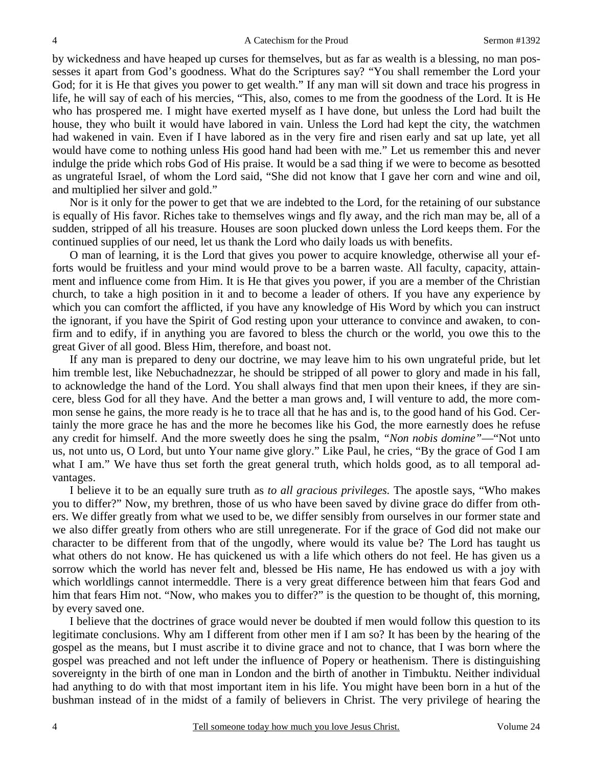by wickedness and have heaped up curses for themselves, but as far as wealth is a blessing, no man possesses it apart from God's goodness. What do the Scriptures say? "You shall remember the Lord your God; for it is He that gives you power to get wealth." If any man will sit down and trace his progress in life, he will say of each of his mercies, "This, also, comes to me from the goodness of the Lord. It is He who has prospered me. I might have exerted myself as I have done, but unless the Lord had built the house, they who built it would have labored in vain. Unless the Lord had kept the city, the watchmen had wakened in vain. Even if I have labored as in the very fire and risen early and sat up late, yet all would have come to nothing unless His good hand had been with me." Let us remember this and never indulge the pride which robs God of His praise. It would be a sad thing if we were to become as besotted as ungrateful Israel, of whom the Lord said, "She did not know that I gave her corn and wine and oil, and multiplied her silver and gold."

 Nor is it only for the power to get that we are indebted to the Lord, for the retaining of our substance is equally of His favor. Riches take to themselves wings and fly away, and the rich man may be, all of a sudden, stripped of all his treasure. Houses are soon plucked down unless the Lord keeps them. For the continued supplies of our need, let us thank the Lord who daily loads us with benefits.

 O man of learning, it is the Lord that gives you power to acquire knowledge, otherwise all your efforts would be fruitless and your mind would prove to be a barren waste. All faculty, capacity, attainment and influence come from Him. It is He that gives you power, if you are a member of the Christian church, to take a high position in it and to become a leader of others. If you have any experience by which you can comfort the afflicted, if you have any knowledge of His Word by which you can instruct the ignorant, if you have the Spirit of God resting upon your utterance to convince and awaken, to confirm and to edify, if in anything you are favored to bless the church or the world, you owe this to the great Giver of all good. Bless Him, therefore, and boast not.

 If any man is prepared to deny our doctrine, we may leave him to his own ungrateful pride, but let him tremble lest, like Nebuchadnezzar, he should be stripped of all power to glory and made in his fall, to acknowledge the hand of the Lord. You shall always find that men upon their knees, if they are sincere, bless God for all they have. And the better a man grows and, I will venture to add, the more common sense he gains, the more ready is he to trace all that he has and is, to the good hand of his God. Certainly the more grace he has and the more he becomes like his God, the more earnestly does he refuse any credit for himself. And the more sweetly does he sing the psalm, *"Non nobis domine"*—"Not unto us, not unto us, O Lord, but unto Your name give glory." Like Paul, he cries, "By the grace of God I am what I am." We have thus set forth the great general truth, which holds good, as to all temporal advantages.

 I believe it to be an equally sure truth as *to all gracious privileges.* The apostle says, "Who makes you to differ?" Now, my brethren, those of us who have been saved by divine grace do differ from others. We differ greatly from what we used to be, we differ sensibly from ourselves in our former state and we also differ greatly from others who are still unregenerate. For if the grace of God did not make our character to be different from that of the ungodly, where would its value be? The Lord has taught us what others do not know. He has quickened us with a life which others do not feel. He has given us a sorrow which the world has never felt and, blessed be His name, He has endowed us with a joy with which worldlings cannot intermeddle. There is a very great difference between him that fears God and him that fears Him not. "Now, who makes you to differ?" is the question to be thought of, this morning, by every saved one.

 I believe that the doctrines of grace would never be doubted if men would follow this question to its legitimate conclusions. Why am I different from other men if I am so? It has been by the hearing of the gospel as the means, but I must ascribe it to divine grace and not to chance, that I was born where the gospel was preached and not left under the influence of Popery or heathenism. There is distinguishing sovereignty in the birth of one man in London and the birth of another in Timbuktu. Neither individual had anything to do with that most important item in his life. You might have been born in a hut of the bushman instead of in the midst of a family of believers in Christ. The very privilege of hearing the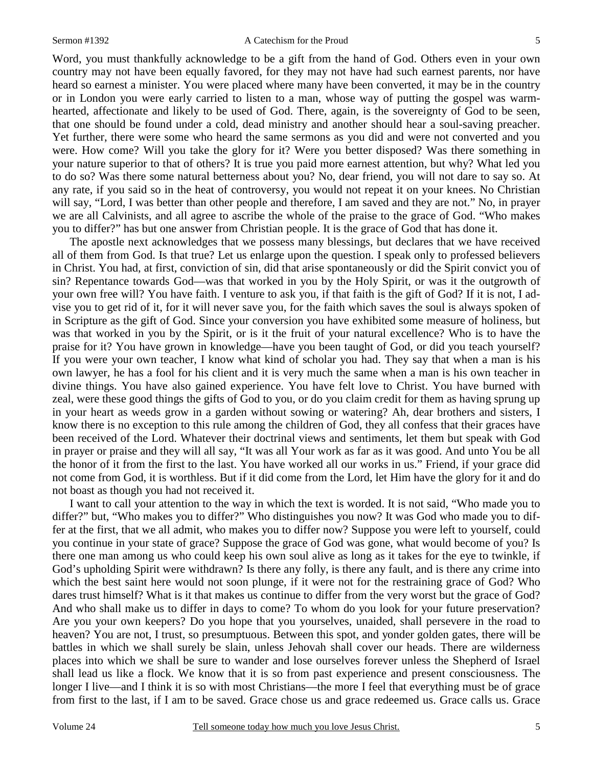Word, you must thankfully acknowledge to be a gift from the hand of God. Others even in your own country may not have been equally favored, for they may not have had such earnest parents, nor have heard so earnest a minister. You were placed where many have been converted, it may be in the country or in London you were early carried to listen to a man, whose way of putting the gospel was warmhearted, affectionate and likely to be used of God. There, again, is the sovereignty of God to be seen, that one should be found under a cold, dead ministry and another should hear a soul-saving preacher. Yet further, there were some who heard the same sermons as you did and were not converted and you were. How come? Will you take the glory for it? Were you better disposed? Was there something in your nature superior to that of others? It is true you paid more earnest attention, but why? What led you to do so? Was there some natural betterness about you? No, dear friend, you will not dare to say so. At any rate, if you said so in the heat of controversy, you would not repeat it on your knees. No Christian will say, "Lord, I was better than other people and therefore, I am saved and they are not." No, in prayer we are all Calvinists, and all agree to ascribe the whole of the praise to the grace of God. "Who makes you to differ?" has but one answer from Christian people. It is the grace of God that has done it.

 The apostle next acknowledges that we possess many blessings, but declares that we have received all of them from God. Is that true? Let us enlarge upon the question. I speak only to professed believers in Christ. You had, at first, conviction of sin, did that arise spontaneously or did the Spirit convict you of sin? Repentance towards God—was that worked in you by the Holy Spirit, or was it the outgrowth of your own free will? You have faith. I venture to ask you, if that faith is the gift of God? If it is not, I advise you to get rid of it, for it will never save you, for the faith which saves the soul is always spoken of in Scripture as the gift of God. Since your conversion you have exhibited some measure of holiness, but was that worked in you by the Spirit, or is it the fruit of your natural excellence? Who is to have the praise for it? You have grown in knowledge—have you been taught of God, or did you teach yourself? If you were your own teacher, I know what kind of scholar you had. They say that when a man is his own lawyer, he has a fool for his client and it is very much the same when a man is his own teacher in divine things. You have also gained experience. You have felt love to Christ. You have burned with zeal, were these good things the gifts of God to you, or do you claim credit for them as having sprung up in your heart as weeds grow in a garden without sowing or watering? Ah, dear brothers and sisters, I know there is no exception to this rule among the children of God, they all confess that their graces have been received of the Lord. Whatever their doctrinal views and sentiments, let them but speak with God in prayer or praise and they will all say, "It was all Your work as far as it was good. And unto You be all the honor of it from the first to the last. You have worked all our works in us." Friend, if your grace did not come from God, it is worthless. But if it did come from the Lord, let Him have the glory for it and do not boast as though you had not received it.

 I want to call your attention to the way in which the text is worded. It is not said, "Who made you to differ?" but, "Who makes you to differ?" Who distinguishes you now? It was God who made you to differ at the first, that we all admit, who makes you to differ now? Suppose you were left to yourself, could you continue in your state of grace? Suppose the grace of God was gone, what would become of you? Is there one man among us who could keep his own soul alive as long as it takes for the eye to twinkle, if God's upholding Spirit were withdrawn? Is there any folly, is there any fault, and is there any crime into which the best saint here would not soon plunge, if it were not for the restraining grace of God? Who dares trust himself? What is it that makes us continue to differ from the very worst but the grace of God? And who shall make us to differ in days to come? To whom do you look for your future preservation? Are you your own keepers? Do you hope that you yourselves, unaided, shall persevere in the road to heaven? You are not, I trust, so presumptuous. Between this spot, and yonder golden gates, there will be battles in which we shall surely be slain, unless Jehovah shall cover our heads. There are wilderness places into which we shall be sure to wander and lose ourselves forever unless the Shepherd of Israel shall lead us like a flock. We know that it is so from past experience and present consciousness. The longer I live—and I think it is so with most Christians—the more I feel that everything must be of grace from first to the last, if I am to be saved. Grace chose us and grace redeemed us. Grace calls us. Grace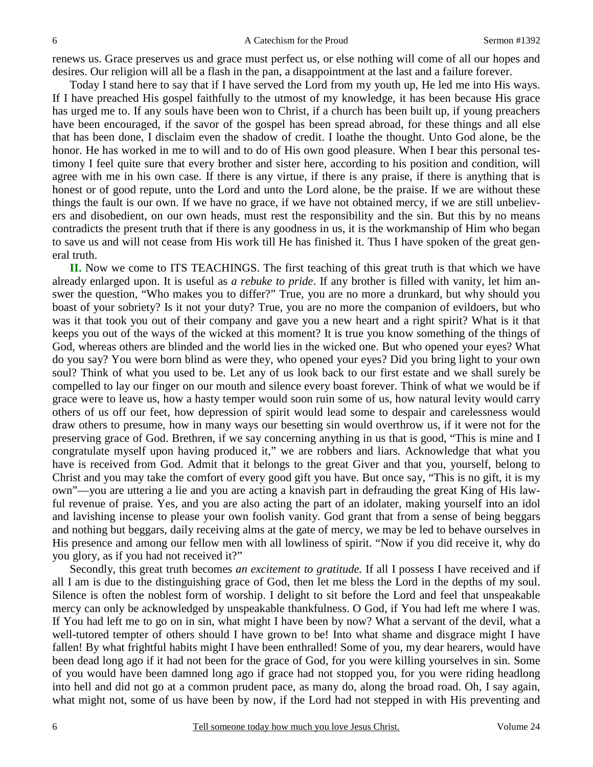renews us. Grace preserves us and grace must perfect us, or else nothing will come of all our hopes and desires. Our religion will all be a flash in the pan, a disappointment at the last and a failure forever.

 Today I stand here to say that if I have served the Lord from my youth up, He led me into His ways. If I have preached His gospel faithfully to the utmost of my knowledge, it has been because His grace has urged me to. If any souls have been won to Christ, if a church has been built up, if young preachers have been encouraged, if the savor of the gospel has been spread abroad, for these things and all else that has been done, I disclaim even the shadow of credit. I loathe the thought. Unto God alone, be the honor. He has worked in me to will and to do of His own good pleasure. When I bear this personal testimony I feel quite sure that every brother and sister here, according to his position and condition, will agree with me in his own case. If there is any virtue, if there is any praise, if there is anything that is honest or of good repute, unto the Lord and unto the Lord alone, be the praise. If we are without these things the fault is our own. If we have no grace, if we have not obtained mercy, if we are still unbelievers and disobedient, on our own heads, must rest the responsibility and the sin. But this by no means contradicts the present truth that if there is any goodness in us, it is the workmanship of Him who began to save us and will not cease from His work till He has finished it. Thus I have spoken of the great general truth.

 **II.** Now we come to ITS TEACHINGS. The first teaching of this great truth is that which we have already enlarged upon. It is useful as *a rebuke to pride*. If any brother is filled with vanity, let him answer the question, "Who makes you to differ?" True, you are no more a drunkard, but why should you boast of your sobriety? Is it not your duty? True, you are no more the companion of evildoers, but who was it that took you out of their company and gave you a new heart and a right spirit? What is it that keeps you out of the ways of the wicked at this moment? It is true you know something of the things of God, whereas others are blinded and the world lies in the wicked one. But who opened your eyes? What do you say? You were born blind as were they, who opened your eyes? Did you bring light to your own soul? Think of what you used to be. Let any of us look back to our first estate and we shall surely be compelled to lay our finger on our mouth and silence every boast forever. Think of what we would be if grace were to leave us, how a hasty temper would soon ruin some of us, how natural levity would carry others of us off our feet, how depression of spirit would lead some to despair and carelessness would draw others to presume, how in many ways our besetting sin would overthrow us, if it were not for the preserving grace of God. Brethren, if we say concerning anything in us that is good, "This is mine and I congratulate myself upon having produced it," we are robbers and liars. Acknowledge that what you have is received from God. Admit that it belongs to the great Giver and that you, yourself, belong to Christ and you may take the comfort of every good gift you have. But once say, "This is no gift, it is my own"—you are uttering a lie and you are acting a knavish part in defrauding the great King of His lawful revenue of praise. Yes, and you are also acting the part of an idolater, making yourself into an idol and lavishing incense to please your own foolish vanity. God grant that from a sense of being beggars and nothing but beggars, daily receiving alms at the gate of mercy, we may be led to behave ourselves in His presence and among our fellow men with all lowliness of spirit. "Now if you did receive it, why do you glory, as if you had not received it?"

 Secondly, this great truth becomes *an excitement to gratitude.* If all I possess I have received and if all I am is due to the distinguishing grace of God, then let me bless the Lord in the depths of my soul. Silence is often the noblest form of worship. I delight to sit before the Lord and feel that unspeakable mercy can only be acknowledged by unspeakable thankfulness. O God, if You had left me where I was. If You had left me to go on in sin, what might I have been by now? What a servant of the devil, what a well-tutored tempter of others should I have grown to be! Into what shame and disgrace might I have fallen! By what frightful habits might I have been enthralled! Some of you, my dear hearers, would have been dead long ago if it had not been for the grace of God, for you were killing yourselves in sin. Some of you would have been damned long ago if grace had not stopped you, for you were riding headlong into hell and did not go at a common prudent pace, as many do, along the broad road. Oh, I say again, what might not, some of us have been by now, if the Lord had not stepped in with His preventing and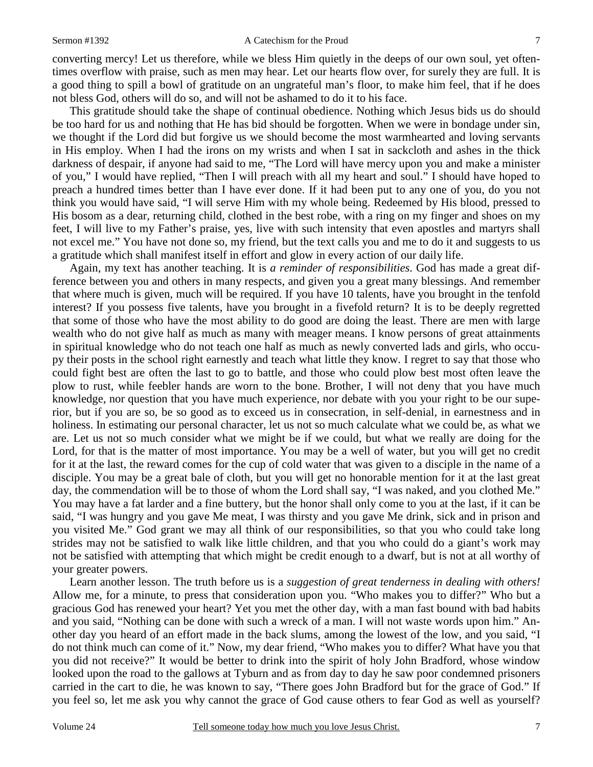converting mercy! Let us therefore, while we bless Him quietly in the deeps of our own soul, yet oftentimes overflow with praise, such as men may hear. Let our hearts flow over, for surely they are full. It is a good thing to spill a bowl of gratitude on an ungrateful man's floor, to make him feel, that if he does not bless God, others will do so, and will not be ashamed to do it to his face.

 This gratitude should take the shape of continual obedience. Nothing which Jesus bids us do should be too hard for us and nothing that He has bid should be forgotten. When we were in bondage under sin, we thought if the Lord did but forgive us we should become the most warmhearted and loving servants in His employ. When I had the irons on my wrists and when I sat in sackcloth and ashes in the thick darkness of despair, if anyone had said to me, "The Lord will have mercy upon you and make a minister of you," I would have replied, "Then I will preach with all my heart and soul." I should have hoped to preach a hundred times better than I have ever done. If it had been put to any one of you, do you not think you would have said, "I will serve Him with my whole being. Redeemed by His blood, pressed to His bosom as a dear, returning child, clothed in the best robe, with a ring on my finger and shoes on my feet, I will live to my Father's praise, yes, live with such intensity that even apostles and martyrs shall not excel me." You have not done so, my friend, but the text calls you and me to do it and suggests to us a gratitude which shall manifest itself in effort and glow in every action of our daily life.

 Again, my text has another teaching. It is *a reminder of responsibilities*. God has made a great difference between you and others in many respects, and given you a great many blessings. And remember that where much is given, much will be required. If you have 10 talents, have you brought in the tenfold interest? If you possess five talents, have you brought in a fivefold return? It is to be deeply regretted that some of those who have the most ability to do good are doing the least. There are men with large wealth who do not give half as much as many with meager means. I know persons of great attainments in spiritual knowledge who do not teach one half as much as newly converted lads and girls, who occupy their posts in the school right earnestly and teach what little they know. I regret to say that those who could fight best are often the last to go to battle, and those who could plow best most often leave the plow to rust, while feebler hands are worn to the bone. Brother, I will not deny that you have much knowledge, nor question that you have much experience, nor debate with you your right to be our superior, but if you are so, be so good as to exceed us in consecration, in self-denial, in earnestness and in holiness. In estimating our personal character, let us not so much calculate what we could be, as what we are. Let us not so much consider what we might be if we could, but what we really are doing for the Lord, for that is the matter of most importance. You may be a well of water, but you will get no credit for it at the last, the reward comes for the cup of cold water that was given to a disciple in the name of a disciple. You may be a great bale of cloth, but you will get no honorable mention for it at the last great day, the commendation will be to those of whom the Lord shall say, "I was naked, and you clothed Me." You may have a fat larder and a fine buttery, but the honor shall only come to you at the last, if it can be said, "I was hungry and you gave Me meat, I was thirsty and you gave Me drink, sick and in prison and you visited Me." God grant we may all think of our responsibilities, so that you who could take long strides may not be satisfied to walk like little children, and that you who could do a giant's work may not be satisfied with attempting that which might be credit enough to a dwarf, but is not at all worthy of your greater powers.

 Learn another lesson. The truth before us is a *suggestion of great tenderness in dealing with others!* Allow me, for a minute, to press that consideration upon you. "Who makes you to differ?" Who but a gracious God has renewed your heart? Yet you met the other day, with a man fast bound with bad habits and you said, "Nothing can be done with such a wreck of a man. I will not waste words upon him." Another day you heard of an effort made in the back slums, among the lowest of the low, and you said, "I do not think much can come of it." Now, my dear friend, "Who makes you to differ? What have you that you did not receive?" It would be better to drink into the spirit of holy John Bradford, whose window looked upon the road to the gallows at Tyburn and as from day to day he saw poor condemned prisoners carried in the cart to die, he was known to say, "There goes John Bradford but for the grace of God." If you feel so, let me ask you why cannot the grace of God cause others to fear God as well as yourself?

7